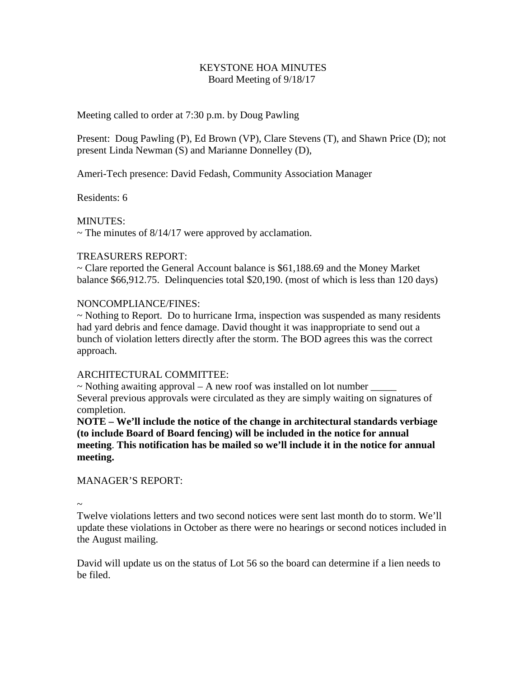### KEYSTONE HOA MINUTES Board Meeting of 9/18/17

#### Meeting called to order at 7:30 p.m. by Doug Pawling

Present: Doug Pawling (P), Ed Brown (VP), Clare Stevens (T), and Shawn Price (D); not present Linda Newman (S) and Marianne Donnelley (D),

Ameri-Tech presence: David Fedash, Community Association Manager

Residents: 6

MINUTES:

 $\sim$  The minutes of 8/14/17 were approved by acclamation.

### TREASURERS REPORT:

~ Clare reported the General Account balance is \$61,188.69 and the Money Market balance \$66,912.75. Delinquencies total \$20,190. (most of which is less than 120 days)

### NONCOMPLIANCE/FINES:

~ Nothing to Report. Do to hurricane Irma, inspection was suspended as many residents had yard debris and fence damage. David thought it was inappropriate to send out a bunch of violation letters directly after the storm. The BOD agrees this was the correct approach.

# ARCHITECTURAL COMMITTEE:

 $\sim$  Nothing awaiting approval – A new roof was installed on lot number Several previous approvals were circulated as they are simply waiting on signatures of completion.

**NOTE – We'll include the notice of the change in architectural standards verbiage (to include Board of Board fencing) will be included in the notice for annual meeting**. **This notification has be mailed so we'll include it in the notice for annual meeting.**

# MANAGER'S REPORT:

~

Twelve violations letters and two second notices were sent last month do to storm. We'll update these violations in October as there were no hearings or second notices included in the August mailing.

David will update us on the status of Lot 56 so the board can determine if a lien needs to be filed.